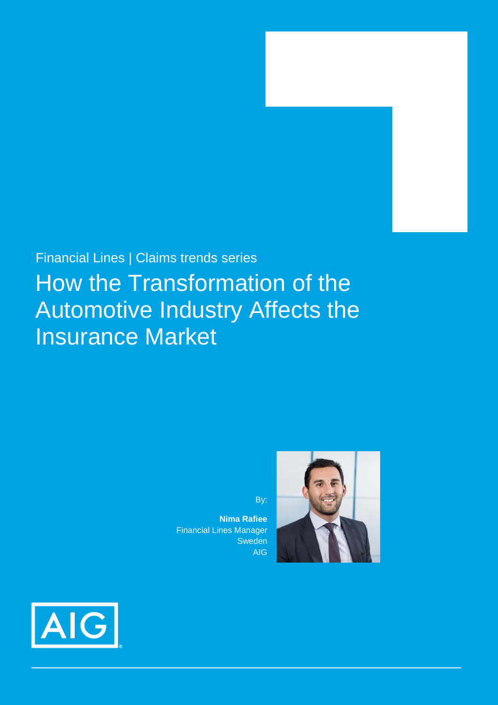# Financial Lines | Claims trends series How the Transformation of the Automotive Industry Affects the Insurance Market

By:

**Nima Rafiee** Financial Lines Manager Sweden AIG



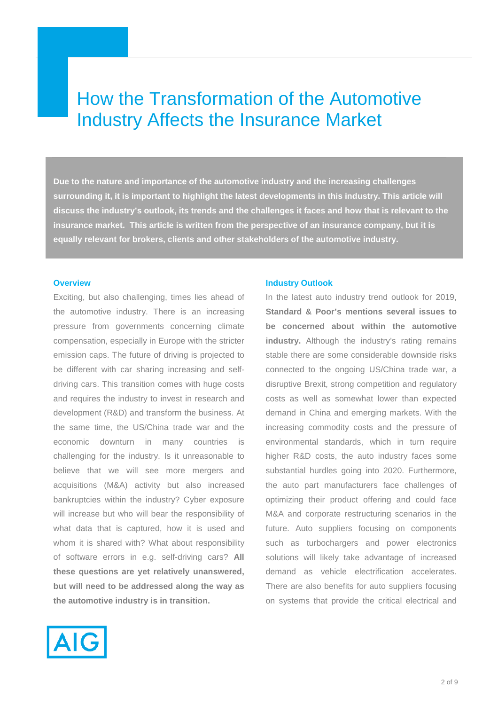# How the Transformation of the Automotive Industry Affects the Insurance Market

**Due to the nature and importance of the automotive industry and the increasing challenges surrounding it, it is important to highlight the latest developments in this industry. This article will discuss the industry's outlook, its trends and the challenges it faces and how that is relevant to the insurance market. This article is written from the perspective of an insurance company, but it is equally relevant for brokers, clients and other stakeholders of the automotive industry.**

## **Overview**

Exciting, but also challenging, times lies ahead of the automotive industry. There is an increasing pressure from governments concerning climate compensation, especially in Europe with the stricter emission caps. The future of driving is projected to be different with car sharing increasing and selfdriving cars. This transition comes with huge costs and requires the industry to invest in research and development (R&D) and transform the business. At the same time, the US/China trade war and the economic downturn in many countries is challenging for the industry. Is it unreasonable to believe that we will see more mergers and acquisitions (M&A) activity but also increased bankruptcies within the industry? Cyber exposure will increase but who will bear the responsibility of what data that is captured, how it is used and whom it is shared with? What about responsibility of software errors in e.g. self-driving cars? **All these questions are yet relatively unanswered, but will need to be addressed along the way as the automotive industry is in transition.** 



#### **Industry Outlook**

In the latest auto industry trend outlook for 2019, **Standard & Poor's mentions several issues to be concerned about within the automotive industry.** Although the industry's rating remains stable there are some considerable downside risks connected to the ongoing US/China trade war, a disruptive Brexit, strong competition and regulatory costs as well as somewhat lower than expected demand in China and emerging markets. With the increasing commodity costs and the pressure of environmental standards, which in turn require higher R&D costs, the auto industry faces some substantial hurdles going into 2020. Furthermore, the auto part manufacturers face challenges of optimizing their product offering and could face M&A and corporate restructuring scenarios in the future. Auto suppliers focusing on components such as turbochargers and power electronics solutions will likely take advantage of increased demand as vehicle electrification accelerates. There are also benefits for auto suppliers focusing on systems that provide the critical electrical and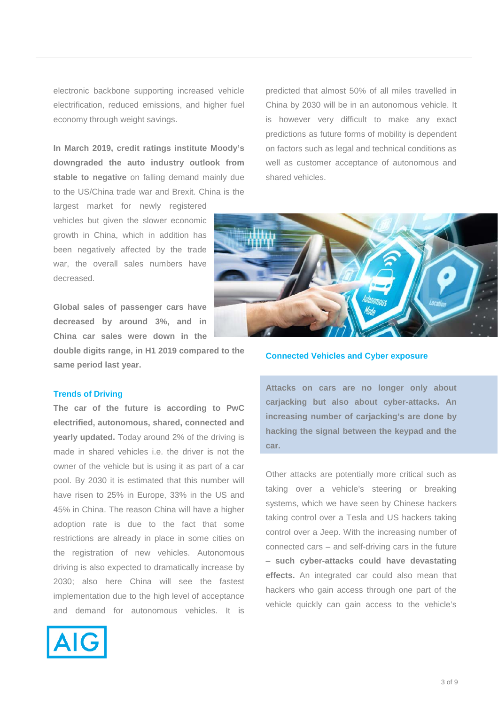electronic backbone supporting increased vehicle electrification, reduced emissions, and higher fuel economy through weight savings.

**In March 2019, credit ratings institute Moody's downgraded the auto industry outlook from stable to negative** on falling demand mainly due to the US/China trade war and Brexit. China is the

largest market for newly registered vehicles but given the slower economic growth in China, which in addition has been negatively affected by the trade war, the overall sales numbers have decreased.

**Global sales of passenger cars have decreased by around 3%, and in China car sales were down in the** 

**double digits range, in H1 2019 compared to the same period last year.**

#### **Trends of Driving**

**The car of the future is according to PwC electrified, autonomous, shared, connected and yearly updated.** Today around 2% of the driving is made in shared vehicles i.e. the driver is not the owner of the vehicle but is using it as part of a car pool. By 2030 it is estimated that this number will have risen to 25% in Europe, 33% in the US and 45% in China. The reason China will have a higher adoption rate is due to the fact that some restrictions are already in place in some cities on the registration of new vehicles. Autonomous driving is also expected to dramatically increase by 2030; also here China will see the fastest implementation due to the high level of acceptance and demand for autonomous vehicles. It is



predicted that almost 50% of all miles travelled in China by 2030 will be in an autonomous vehicle. It is however very difficult to make any exact predictions as future forms of mobility is dependent on factors such as legal and technical conditions as well as customer acceptance of autonomous and shared vehicles.



#### **Connected Vehicles and Cyber exposure**

**Attacks on cars are no longer only about carjacking but also about cyber-attacks. An increasing number of carjacking's are done by hacking the signal between the keypad and the car.**

Other attacks are potentially more critical such as taking over a vehicle's steering or breaking systems, which we have seen by Chinese hackers taking control over a Tesla and US hackers taking control over a Jeep. With the increasing number of connected cars – and self-driving cars in the future – **such cyber-attacks could have devastating effects.** An integrated car could also mean that hackers who gain access through one part of the vehicle quickly can gain access to the vehicle's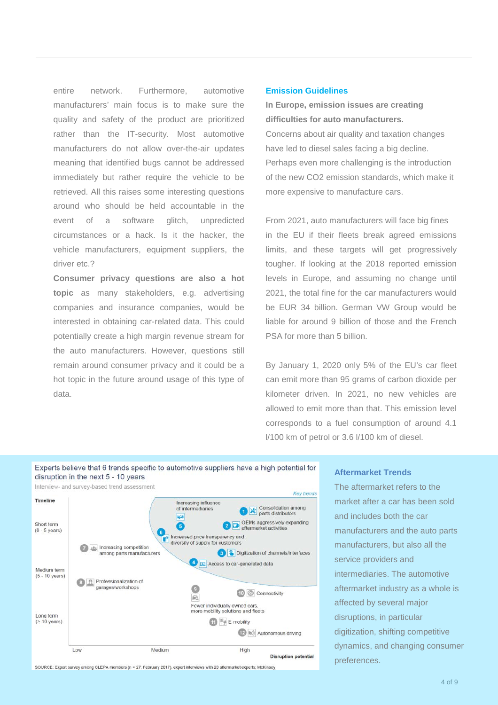entire network. Furthermore, automotive manufacturers' main focus is to make sure the quality and safety of the product are prioritized rather than the IT-security. Most automotive manufacturers do not allow over-the-air updates meaning that identified bugs cannot be addressed immediately but rather require the vehicle to be retrieved. All this raises some interesting questions around who should be held accountable in the event of a software glitch, unpredicted circumstances or a hack. Is it the hacker, the vehicle manufacturers, equipment suppliers, the driver etc. ?

**Consumer privacy questions are also a hot topic** as many stakeholders, e.g. advertising companies and insurance companies, would be interested in obtaining car-related data. This could potentially create a high margin revenue stream for the auto manufacturers. However, questions still remain around consumer privacy and it could be a hot topic in the future around usage of this type of data.

#### **Emission Guidelines**

**In Europe, emission issues are creating difficulties for auto manufacturers.**  Concerns about air quality and taxation changes have led to diesel sales facing a big decline. Perhaps even more challenging is the introduction of the new CO2 emission standards, which make it more expensive to manufacture cars.

From 2021, auto manufacturers will face big fines in the EU if their fleets break agreed emissions limits, and these targets will get progressively tougher. If looking at the 2018 reported emission levels in Europe, and assuming no change until 2021, the total fine for the car manufacturers would be EUR 34 billion. German VW Group would be liable for around 9 billion of those and the French PSA for more than 5 billion.

By January 1, 2020 only 5% of the EU's car fleet can emit more than 95 grams of carbon dioxide per kilometer driven. In 2021, no new vehicles are allowed to emit more than that. This emission level corresponds to a fuel consumption of around 4.1 l/100 km of petrol or 3.6 l/100 km of diesel.



# **Aftermarket Trends**

The aftermarket refers to the market after a car has been sold and includes both the car manufacturers and the auto parts manufacturers, but also all the service providers and intermediaries. The automotive aftermarket industry as a whole is affected by several major disruptions, in particular digitization, shifting competitive dynamics, and changing consumer preferences.

SOURCE: Expert survey among CLEPA members (n = 27; February 2017), expert interviews with 20 aftermarket experts; McKinsey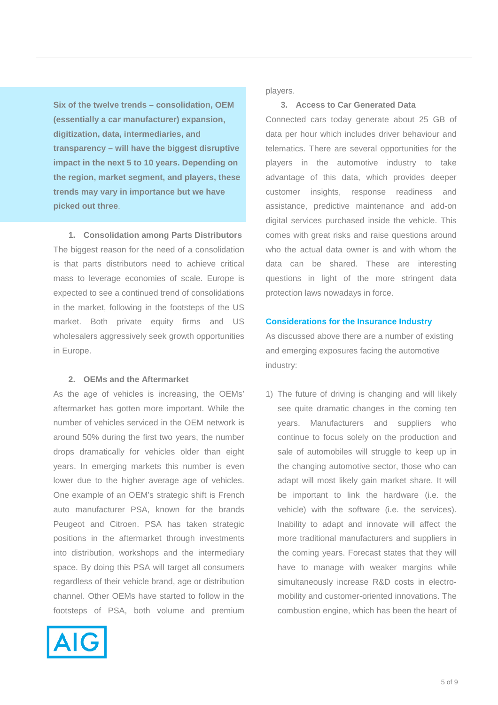**Six of the twelve trends – consolidation, OEM (essentially a car manufacturer) expansion, digitization, data, intermediaries, and transparency – will have the biggest disruptive impact in the next 5 to 10 years. Depending on the region, market segment, and players, these trends may vary in importance but we have picked out three**.

**1. Consolidation among Parts Distributors** The biggest reason for the need of a consolidation is that parts distributors need to achieve critical mass to leverage economies of scale. Europe is expected to see a continued trend of consolidations in the market, following in the footsteps of the US market. Both private equity firms and US wholesalers aggressively seek growth opportunities in Europe.

# **2. OEMs and the Aftermarket**

As the age of vehicles is increasing, the OEMs' aftermarket has gotten more important. While the number of vehicles serviced in the OEM network is around 50% during the first two years, the number drops dramatically for vehicles older than eight years. In emerging markets this number is even lower due to the higher average age of vehicles. One example of an OEM's strategic shift is French auto manufacturer PSA, known for the brands Peugeot and Citroen. PSA has taken strategic positions in the aftermarket through investments into distribution, workshops and the intermediary space. By doing this PSA will target all consumers regardless of their vehicle brand, age or distribution channel. Other OEMs have started to follow in the footsteps of PSA, both volume and premium



players.

# **3. Access to Car Generated Data**

Connected cars today generate about 25 GB of data per hour which includes driver behaviour and telematics. There are several opportunities for the players in the automotive industry to take advantage of this data, which provides deeper customer insights, response readiness and assistance, predictive maintenance and add-on digital services purchased inside the vehicle. This comes with great risks and raise questions around who the actual data owner is and with whom the data can be shared. These are interesting questions in light of the more stringent data protection laws nowadays in force.

## **Considerations for the Insurance Industry**

As discussed above there are a number of existing and emerging exposures facing the automotive industry:

1) The future of driving is changing and will likely see quite dramatic changes in the coming ten years. Manufacturers and suppliers who continue to focus solely on the production and sale of automobiles will struggle to keep up in the changing automotive sector, those who can adapt will most likely gain market share. It will be important to link the hardware (i.e. the vehicle) with the software (i.e. the services). Inability to adapt and innovate will affect the more traditional manufacturers and suppliers in the coming years. Forecast states that they will have to manage with weaker margins while simultaneously increase R&D costs in electromobility and customer-oriented innovations. The combustion engine, which has been the heart of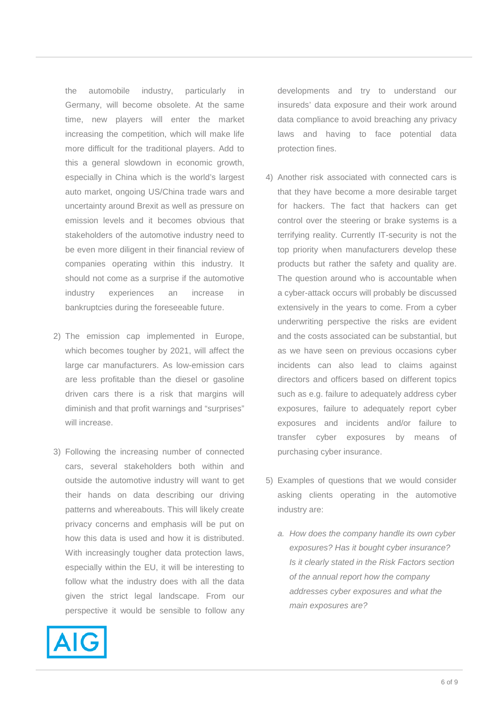the automobile industry, particularly in Germany, will become obsolete. At the same time, new players will enter the market increasing the competition, which will make life more difficult for the traditional players. Add to this a general slowdown in economic growth, especially in China which is the world's largest auto market, ongoing US/China trade wars and uncertainty around Brexit as well as pressure on emission levels and it becomes obvious that stakeholders of the automotive industry need to be even more diligent in their financial review of companies operating within this industry. It should not come as a surprise if the automotive industry experiences an increase in bankruptcies during the foreseeable future.

- 2) The emission cap implemented in Europe, which becomes tougher by 2021, will affect the large car manufacturers. As low-emission cars are less profitable than the diesel or gasoline driven cars there is a risk that margins will diminish and that profit warnings and "surprises" will increase.
- 3) Following the increasing number of connected cars, several stakeholders both within and outside the automotive industry will want to get their hands on data describing our driving patterns and whereabouts. This will likely create privacy concerns and emphasis will be put on how this data is used and how it is distributed. With increasingly tougher data protection laws, especially within the EU, it will be interesting to follow what the industry does with all the data given the strict legal landscape. From our perspective it would be sensible to follow any



developments and try to understand our insureds' data exposure and their work around data compliance to avoid breaching any privacy laws and having to face potential data protection fines.

- 4) Another risk associated with connected cars is that they have become a more desirable target for hackers. The fact that hackers can get control over the steering or brake systems is a terrifying reality. Currently IT-security is not the top priority when manufacturers develop these products but rather the safety and quality are. The question around who is accountable when a cyber-attack occurs will probably be discussed extensively in the years to come. From a cyber underwriting perspective the risks are evident and the costs associated can be substantial, but as we have seen on previous occasions cyber incidents can also lead to claims against directors and officers based on different topics such as e.g. failure to adequately address cyber exposures, failure to adequately report cyber exposures and incidents and/or failure to transfer cyber exposures by means of purchasing cyber insurance.
- 5) Examples of questions that we would consider asking clients operating in the automotive industry are:
	- *a. How does the company handle its own cyber exposures? Has it bought cyber insurance? Is it clearly stated in the Risk Factors section of the annual report how the company addresses cyber exposures and what the main exposures are?*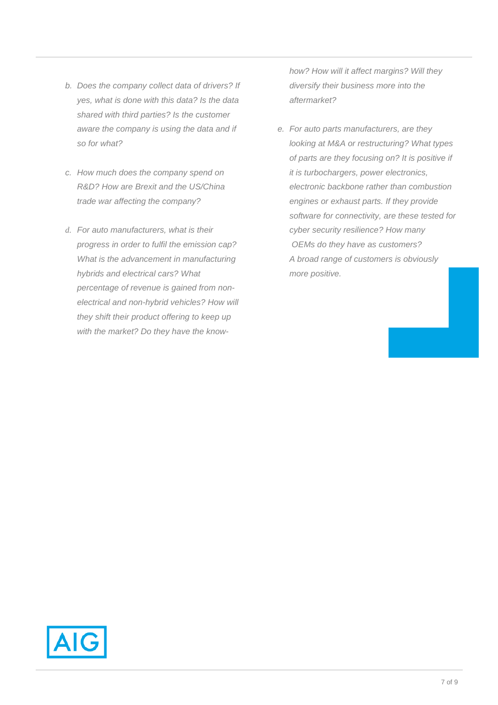- *b. Does the company collect data of drivers? If yes, what is done with this data? Is the data shared with third parties? Is the customer aware the company is using the data and if so for what?*
- *c. How much does the company spend on R&D? How are Brexit and the US/China trade war affecting the company?*
- *d. For auto manufacturers, what is their progress in order to fulfil the emission cap? What is the advancement in manufacturing hybrids and electrical cars? What percentage of revenue is gained from nonelectrical and non-hybrid vehicles? How will they shift their product offering to keep up with the market? Do they have the know-*

*how? How will it affect margins? Will they diversify their business more into the aftermarket?* 

*e. For auto parts manufacturers, are they looking at M&A or restructuring? What types of parts are they focusing on? It is positive if it is turbochargers, power electronics, electronic backbone rather than combustion engines or exhaust parts. If they provide software for connectivity, are these tested for cyber security resilience? How many OEMs do they have as customers? A broad range of customers is obviously more positive.* 

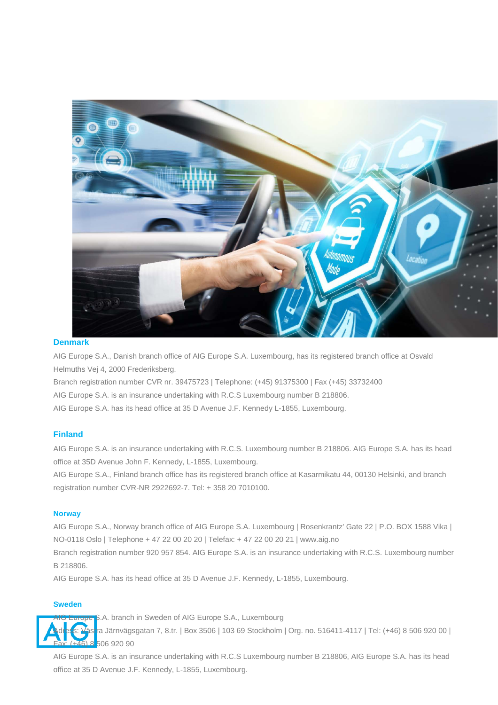

#### **Denmark**

AIG Europe S.A., Danish branch office of AIG Europe S.A. Luxembourg, has its registered branch office at Osvald Helmuths Vej 4, 2000 Frederiksberg.

Branch registration number CVR nr. 39475723 | Telephone: (+45) 91375300 | Fax (+45) 33732400

AIG Europe S.A. is an insurance undertaking with R.C.S Luxembourg number B 218806.

AIG Europe S.A. has its head office at 35 D Avenue J.F. Kennedy L-1855, Luxembourg.

# **Finland**

AIG Europe S.A. is an insurance undertaking with R.C.S. Luxembourg number B 218806. AIG Europe S.A. has its head office at 35D Avenue John F. Kennedy, L-1855, Luxembourg.

AIG Europe S.A., Finland branch office has its registered branch office at Kasarmikatu 44, 00130 Helsinki, and branch registration number CVR-NR 2922692-7. Tel: + 358 20 7010100.

#### **Norway**

AIG Europe S.A., Norway branch office of AIG Europe S.A. Luxembourg | Rosenkrantz' Gate 22 | P.O. BOX 1588 Vika | NO-0118 Oslo | Telephone + 47 22 00 20 20 | Telefax: + 47 22 00 20 21 | www.aig.no

Branch registration number 920 957 854. AIG Europe S.A. is an insurance undertaking with R.C.S. Luxembourg number B 218806.

AIG Europe S.A. has its head office at 35 D Avenue J.F. Kennedy, L-1855, Luxembourg.

#### **Sweden**



ope S.A. branch in Sweden of AIG Europe S.A., Luxembourg

s <mark>r</mark>a Järnvägsgatan 7, 8.tr. | Box 3506 | 103 69 Stockholm | Org. no. 516411-4117 | Tel: (+46) 8 506 920 00 | 16) 8 506 920 90

AIG Europe S.A. is an insurance undertaking with R.C.S Luxembourg number B 218806, AIG Europe S.A. has its head office at 35 D Avenue J.F. Kennedy, L-1855, Luxembourg.